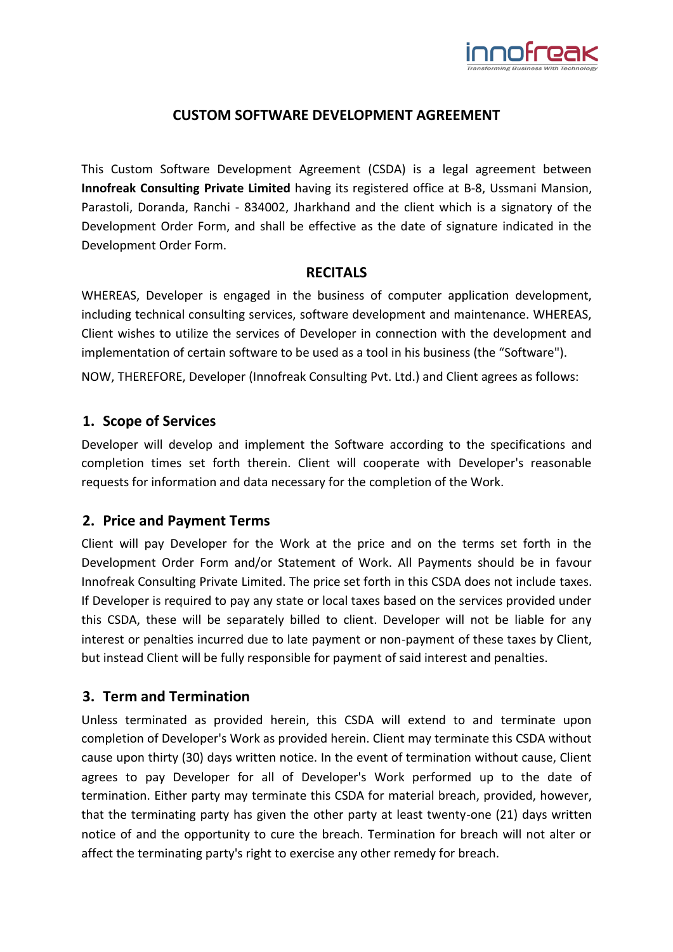

## **CUSTOM SOFTWARE DEVELOPMENT AGREEMENT**

This Custom Software Development Agreement (CSDA) is a legal agreement between **Innofreak Consulting Private Limited** having its registered office at B-8, Ussmani Mansion, Parastoli, Doranda, Ranchi - 834002, Jharkhand and the client which is a signatory of the Development Order Form, and shall be effective as the date of signature indicated in the Development Order Form.

#### **RECITALS**

WHEREAS, Developer is engaged in the business of computer application development, including technical consulting services, software development and maintenance. WHEREAS, Client wishes to utilize the services of Developer in connection with the development and implementation of certain software to be used as a tool in his business (the "Software").

NOW, THEREFORE, Developer (Innofreak Consulting Pvt. Ltd.) and Client agrees as follows:

#### **1. Scope of Services**

Developer will develop and implement the Software according to the specifications and completion times set forth therein. Client will cooperate with Developer's reasonable requests for information and data necessary for the completion of the Work.

## **2. Price and Payment Terms**

Client will pay Developer for the Work at the price and on the terms set forth in the Development Order Form and/or Statement of Work. All Payments should be in favour Innofreak Consulting Private Limited. The price set forth in this CSDA does not include taxes. If Developer is required to pay any state or local taxes based on the services provided under this CSDA, these will be separately billed to client. Developer will not be liable for any interest or penalties incurred due to late payment or non-payment of these taxes by Client, but instead Client will be fully responsible for payment of said interest and penalties.

## **3. Term and Termination**

Unless terminated as provided herein, this CSDA will extend to and terminate upon completion of Developer's Work as provided herein. Client may terminate this CSDA without cause upon thirty (30) days written notice. In the event of termination without cause, Client agrees to pay Developer for all of Developer's Work performed up to the date of termination. Either party may terminate this CSDA for material breach, provided, however, that the terminating party has given the other party at least twenty-one (21) days written notice of and the opportunity to cure the breach. Termination for breach will not alter or affect the terminating party's right to exercise any other remedy for breach.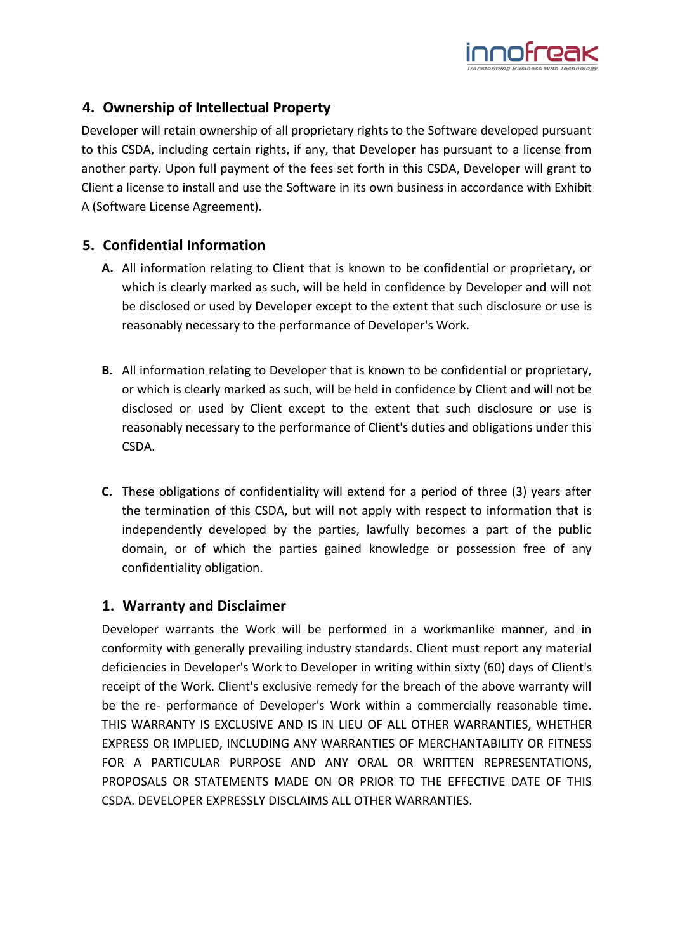

# **4. Ownership of Intellectual Property**

Developer will retain ownership of all proprietary rights to the Software developed pursuant to this CSDA, including certain rights, if any, that Developer has pursuant to a license from another party. Upon full payment of the fees set forth in this CSDA, Developer will grant to Client a license to install and use the Software in its own business in accordance with Exhibit A (Software License Agreement).

# **5. Confidential Information**

- **A.** All information relating to Client that is known to be confidential or proprietary, or which is clearly marked as such, will be held in confidence by Developer and will not be disclosed or used by Developer except to the extent that such disclosure or use is reasonably necessary to the performance of Developer's Work.
- **B.** All information relating to Developer that is known to be confidential or proprietary, or which is clearly marked as such, will be held in confidence by Client and will not be disclosed or used by Client except to the extent that such disclosure or use is reasonably necessary to the performance of Client's duties and obligations under this CSDA.
- **C.** These obligations of confidentiality will extend for a period of three (3) years after the termination of this CSDA, but will not apply with respect to information that is independently developed by the parties, lawfully becomes a part of the public domain, or of which the parties gained knowledge or possession free of any confidentiality obligation.

#### **1. Warranty and Disclaimer**

Developer warrants the Work will be performed in a workmanlike manner, and in conformity with generally prevailing industry standards. Client must report any material deficiencies in Developer's Work to Developer in writing within sixty (60) days of Client's receipt of the Work. Client's exclusive remedy for the breach of the above warranty will be the re- performance of Developer's Work within a commercially reasonable time. THIS WARRANTY IS EXCLUSIVE AND IS IN LIEU OF ALL OTHER WARRANTIES, WHETHER EXPRESS OR IMPLIED, INCLUDING ANY WARRANTIES OF MERCHANTABILITY OR FITNESS FOR A PARTICULAR PURPOSE AND ANY ORAL OR WRITTEN REPRESENTATIONS, PROPOSALS OR STATEMENTS MADE ON OR PRIOR TO THE EFFECTIVE DATE OF THIS CSDA. DEVELOPER EXPRESSLY DISCLAIMS ALL OTHER WARRANTIES.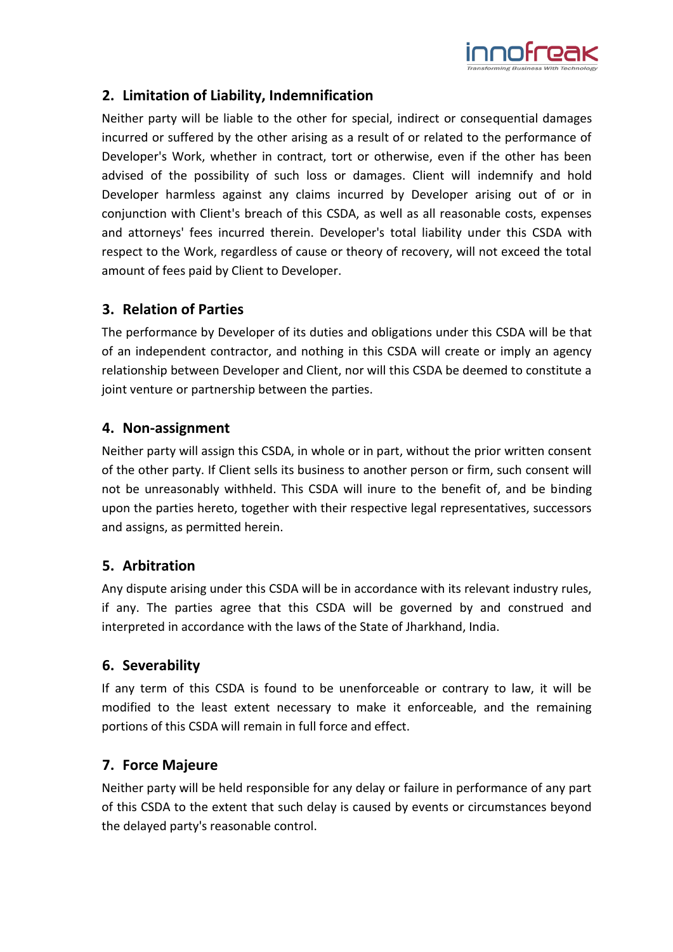

## **2. Limitation of Liability, Indemnification**

Neither party will be liable to the other for special, indirect or consequential damages incurred or suffered by the other arising as a result of or related to the performance of Developer's Work, whether in contract, tort or otherwise, even if the other has been advised of the possibility of such loss or damages. Client will indemnify and hold Developer harmless against any claims incurred by Developer arising out of or in conjunction with Client's breach of this CSDA, as well as all reasonable costs, expenses and attorneys' fees incurred therein. Developer's total liability under this CSDA with respect to the Work, regardless of cause or theory of recovery, will not exceed the total amount of fees paid by Client to Developer.

# **3. Relation of Parties**

The performance by Developer of its duties and obligations under this CSDA will be that of an independent contractor, and nothing in this CSDA will create or imply an agency relationship between Developer and Client, nor will this CSDA be deemed to constitute a joint venture or partnership between the parties.

## **4. Non-assignment**

Neither party will assign this CSDA, in whole or in part, without the prior written consent of the other party. If Client sells its business to another person or firm, such consent will not be unreasonably withheld. This CSDA will inure to the benefit of, and be binding upon the parties hereto, together with their respective legal representatives, successors and assigns, as permitted herein.

# **5. Arbitration**

Any dispute arising under this CSDA will be in accordance with its relevant industry rules, if any. The parties agree that this CSDA will be governed by and construed and interpreted in accordance with the laws of the State of Jharkhand, India.

## **6. Severability**

If any term of this CSDA is found to be unenforceable or contrary to law, it will be modified to the least extent necessary to make it enforceable, and the remaining portions of this CSDA will remain in full force and effect.

## **7. Force Majeure**

Neither party will be held responsible for any delay or failure in performance of any part of this CSDA to the extent that such delay is caused by events or circumstances beyond the delayed party's reasonable control.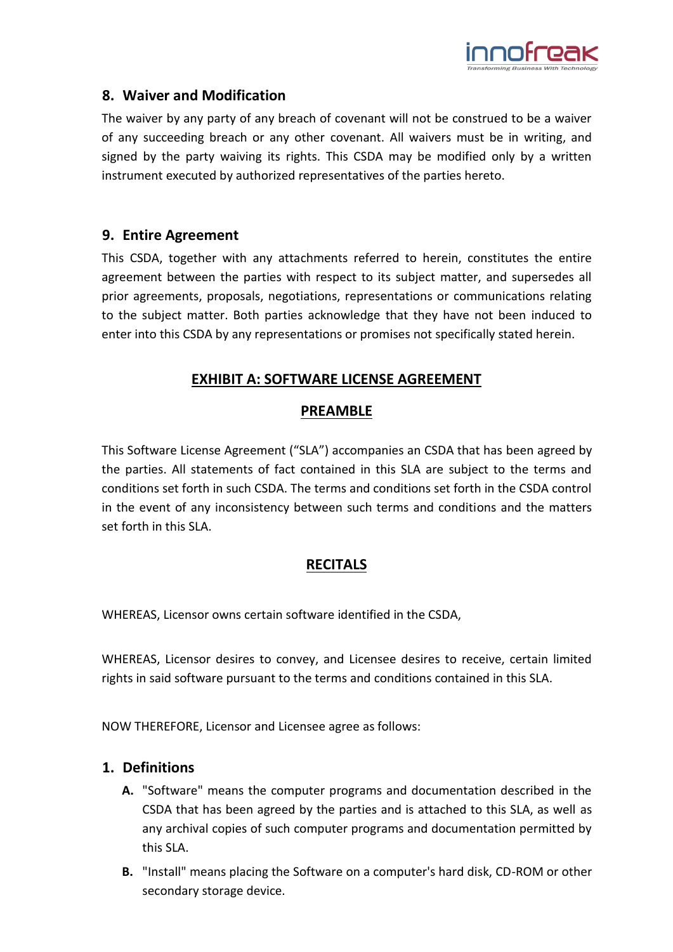

### **8. Waiver and Modification**

The waiver by any party of any breach of covenant will not be construed to be a waiver of any succeeding breach or any other covenant. All waivers must be in writing, and signed by the party waiving its rights. This CSDA may be modified only by a written instrument executed by authorized representatives of the parties hereto.

### **9. Entire Agreement**

This CSDA, together with any attachments referred to herein, constitutes the entire agreement between the parties with respect to its subject matter, and supersedes all prior agreements, proposals, negotiations, representations or communications relating to the subject matter. Both parties acknowledge that they have not been induced to enter into this CSDA by any representations or promises not specifically stated herein.

# **EXHIBIT A: SOFTWARE LICENSE AGREEMENT**

## **PREAMBLE**

This Software License Agreement ("SLA") accompanies an CSDA that has been agreed by the parties. All statements of fact contained in this SLA are subject to the terms and conditions set forth in such CSDA. The terms and conditions set forth in the CSDA control in the event of any inconsistency between such terms and conditions and the matters set forth in this SLA.

## **RECITALS**

WHEREAS, Licensor owns certain software identified in the CSDA,

WHEREAS, Licensor desires to convey, and Licensee desires to receive, certain limited rights in said software pursuant to the terms and conditions contained in this SLA.

NOW THEREFORE, Licensor and Licensee agree as follows:

## **1. Definitions**

- **A.** "Software" means the computer programs and documentation described in the CSDA that has been agreed by the parties and is attached to this SLA, as well as any archival copies of such computer programs and documentation permitted by this SLA.
- **B.** "Install" means placing the Software on a computer's hard disk, CD-ROM or other secondary storage device.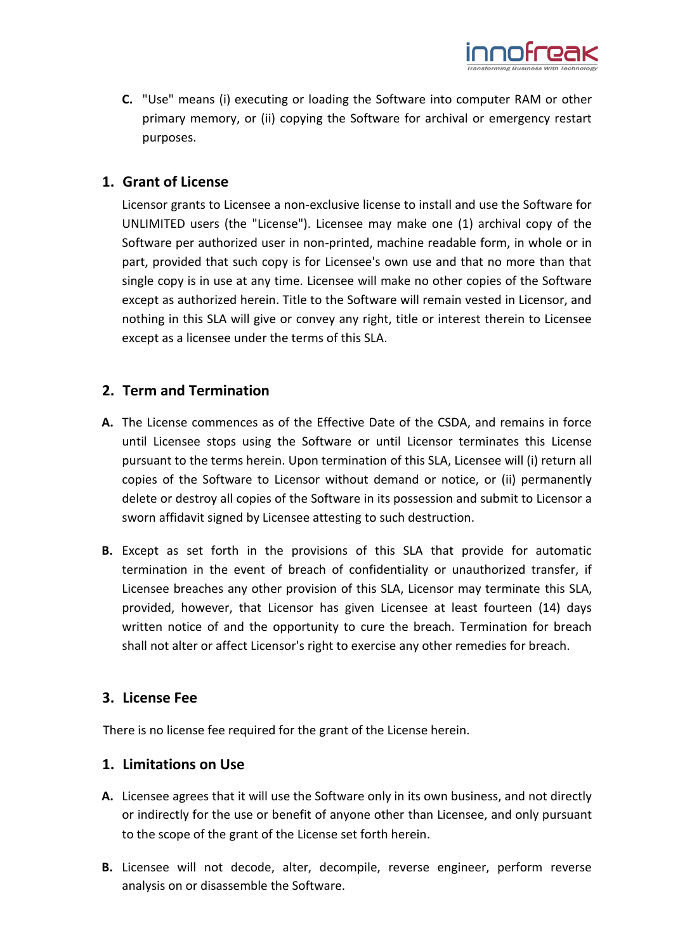

**C.** "Use" means (i) executing or loading the Software into computer RAM or other primary memory, or (ii) copying the Software for archival or emergency restart purposes.

## **1. Grant of License**

Licensor grants to Licensee a non-exclusive license to install and use the Software for UNLIMITED users (the "License"). Licensee may make one (1) archival copy of the Software per authorized user in non-printed, machine readable form, in whole or in part, provided that such copy is for Licensee's own use and that no more than that single copy is in use at any time. Licensee will make no other copies of the Software except as authorized herein. Title to the Software will remain vested in Licensor, and nothing in this SLA will give or convey any right, title or interest therein to Licensee except as a licensee under the terms of this SLA.

## **2. Term and Termination**

- **A.** The License commences as of the Effective Date of the CSDA, and remains in force until Licensee stops using the Software or until Licensor terminates this License pursuant to the terms herein. Upon termination of this SLA, Licensee will (i) return all copies of the Software to Licensor without demand or notice, or (ii) permanently delete or destroy all copies of the Software in its possession and submit to Licensor a sworn affidavit signed by Licensee attesting to such destruction.
- **B.** Except as set forth in the provisions of this SLA that provide for automatic termination in the event of breach of confidentiality or unauthorized transfer, if Licensee breaches any other provision of this SLA, Licensor may terminate this SLA, provided, however, that Licensor has given Licensee at least fourteen (14) days written notice of and the opportunity to cure the breach. Termination for breach shall not alter or affect Licensor's right to exercise any other remedies for breach.

## **3. License Fee**

There is no license fee required for the grant of the License herein.

## **1. Limitations on Use**

- **A.** Licensee agrees that it will use the Software only in its own business, and not directly or indirectly for the use or benefit of anyone other than Licensee, and only pursuant to the scope of the grant of the License set forth herein.
- **B.** Licensee will not decode, alter, decompile, reverse engineer, perform reverse analysis on or disassemble the Software.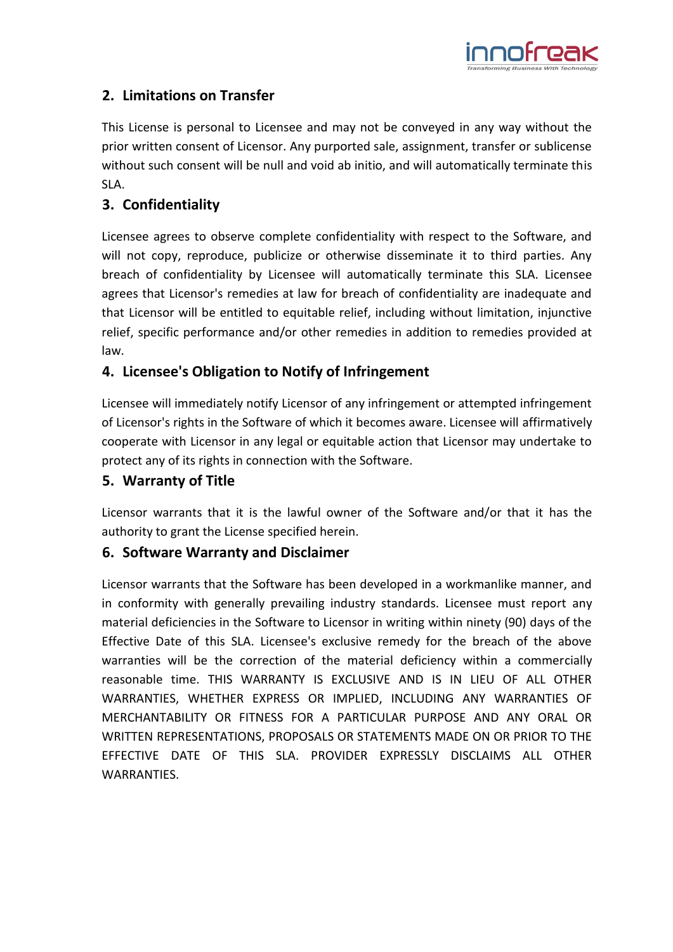

# **2. Limitations on Transfer**

This License is personal to Licensee and may not be conveyed in any way without the prior written consent of Licensor. Any purported sale, assignment, transfer or sublicense without such consent will be null and void ab initio, and will automatically terminate this SLA.

# **3. Confidentiality**

Licensee agrees to observe complete confidentiality with respect to the Software, and will not copy, reproduce, publicize or otherwise disseminate it to third parties. Any breach of confidentiality by Licensee will automatically terminate this SLA. Licensee agrees that Licensor's remedies at law for breach of confidentiality are inadequate and that Licensor will be entitled to equitable relief, including without limitation, injunctive relief, specific performance and/or other remedies in addition to remedies provided at law.

# **4. Licensee's Obligation to Notify of Infringement**

Licensee will immediately notify Licensor of any infringement or attempted infringement of Licensor's rights in the Software of which it becomes aware. Licensee will affirmatively cooperate with Licensor in any legal or equitable action that Licensor may undertake to protect any of its rights in connection with the Software.

# **5. Warranty of Title**

Licensor warrants that it is the lawful owner of the Software and/or that it has the authority to grant the License specified herein.

## **6. Software Warranty and Disclaimer**

Licensor warrants that the Software has been developed in a workmanlike manner, and in conformity with generally prevailing industry standards. Licensee must report any material deficiencies in the Software to Licensor in writing within ninety (90) days of the Effective Date of this SLA. Licensee's exclusive remedy for the breach of the above warranties will be the correction of the material deficiency within a commercially reasonable time. THIS WARRANTY IS EXCLUSIVE AND IS IN LIEU OF ALL OTHER WARRANTIES, WHETHER EXPRESS OR IMPLIED, INCLUDING ANY WARRANTIES OF MERCHANTABILITY OR FITNESS FOR A PARTICULAR PURPOSE AND ANY ORAL OR WRITTEN REPRESENTATIONS, PROPOSALS OR STATEMENTS MADE ON OR PRIOR TO THE EFFECTIVE DATE OF THIS SLA. PROVIDER EXPRESSLY DISCLAIMS ALL OTHER WARRANTIES.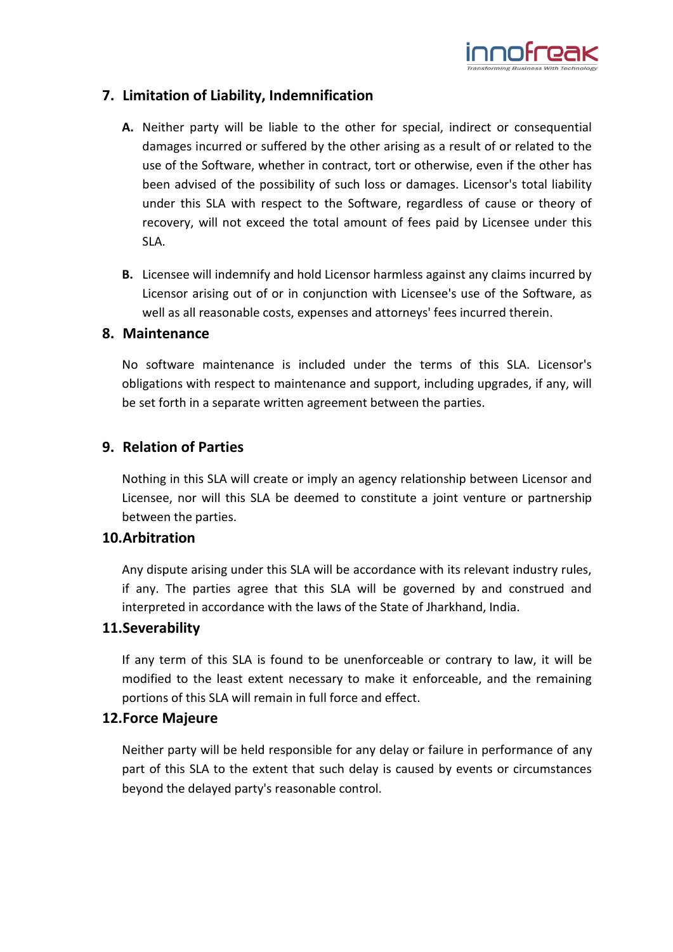

## **7. Limitation of Liability, Indemnification**

- **A.** Neither party will be liable to the other for special, indirect or consequential damages incurred or suffered by the other arising as a result of or related to the use of the Software, whether in contract, tort or otherwise, even if the other has been advised of the possibility of such loss or damages. Licensor's total liability under this SLA with respect to the Software, regardless of cause or theory of recovery, will not exceed the total amount of fees paid by Licensee under this SLA.
- **B.** Licensee will indemnify and hold Licensor harmless against any claims incurred by Licensor arising out of or in conjunction with Licensee's use of the Software, as well as all reasonable costs, expenses and attorneys' fees incurred therein.

#### **8. Maintenance**

No software maintenance is included under the terms of this SLA. Licensor's obligations with respect to maintenance and support, including upgrades, if any, will be set forth in a separate written agreement between the parties.

## **9. Relation of Parties**

Nothing in this SLA will create or imply an agency relationship between Licensor and Licensee, nor will this SLA be deemed to constitute a joint venture or partnership between the parties.

#### **10.Arbitration**

Any dispute arising under this SLA will be accordance with its relevant industry rules, if any. The parties agree that this SLA will be governed by and construed and interpreted in accordance with the laws of the State of Jharkhand, India.

#### **11.Severability**

If any term of this SLA is found to be unenforceable or contrary to law, it will be modified to the least extent necessary to make it enforceable, and the remaining portions of this SLA will remain in full force and effect.

#### **12.Force Majeure**

Neither party will be held responsible for any delay or failure in performance of any part of this SLA to the extent that such delay is caused by events or circumstances beyond the delayed party's reasonable control.